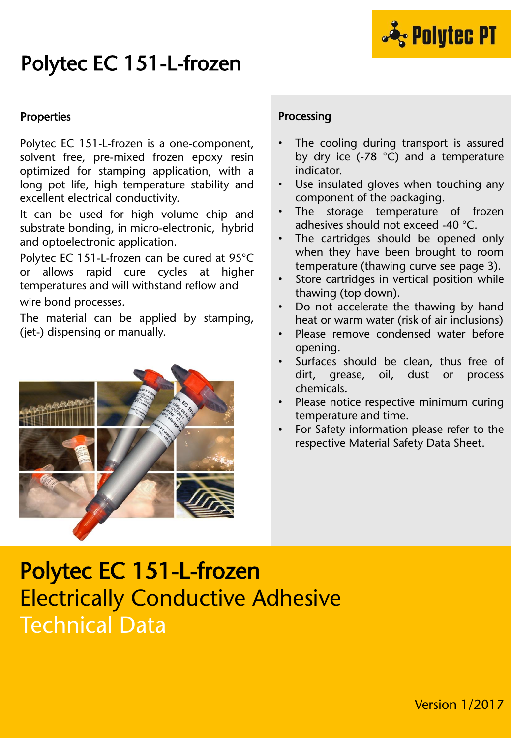

# Polytec EC 151-L-frozen

#### Properties

Polytec EC 151-L-frozen is a one-component, solvent free, pre-mixed frozen epoxy resin optimized for stamping application, with a long pot life, high temperature stability and excellent electrical conductivity.

It can be used for high volume chip and substrate bonding, in micro-electronic, hybrid and optoelectronic application.

Polytec EC 151-L-frozen can be cured at 95°C or allows rapid cure cycles at higher temperatures and will withstand reflow and wire bond processes.

The material can be applied by stamping, (jet-) dispensing or manually.



#### Processing

- The cooling during transport is assured by dry ice (-78 °C) and a temperature indicator.
- Use insulated gloves when touching any component of the packaging.
- The storage temperature of frozen adhesives should not exceed -40 °C.
- The cartridges should be opened only when they have been brought to room temperature (thawing curve see page 3).
- Store cartridges in vertical position while thawing (top down).
- Do not accelerate the thawing by hand heat or warm water (risk of air inclusions)
- Please remove condensed water before opening.
- Surfaces should be clean, thus free of dirt, grease, oil, dust or process chemicals.
- Please notice respective minimum curing temperature and time.
- For Safety information please refer to the respective Material Safety Data Sheet.

## Polytec EC 151-L-frozen Electrically Conductive Adhesive Technical Data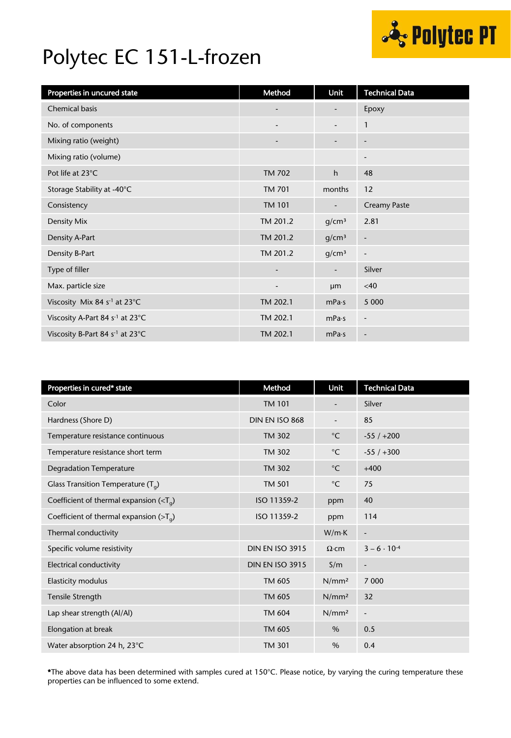

## Polytec EC 151-L-frozen

| Properties in uncured state                 | Method                   | Unit                     | <b>Technical Data</b>        |
|---------------------------------------------|--------------------------|--------------------------|------------------------------|
| <b>Chemical basis</b>                       | $\overline{\phantom{a}}$ |                          | Epoxy                        |
| No. of components                           | $\overline{\phantom{m}}$ |                          | $\mathbf{1}$                 |
| Mixing ratio (weight)                       | $\overline{\phantom{0}}$ | $\overline{\phantom{a}}$ | $\overline{\phantom{a}}$     |
| Mixing ratio (volume)                       |                          |                          | $\overline{\phantom{a}}$     |
| Pot life at 23°C                            | <b>TM 702</b>            | h                        | 48                           |
| Storage Stability at -40°C                  | <b>TM 701</b>            | months                   | 12                           |
| Consistency                                 | <b>TM 101</b>            |                          | <b>Creamy Paste</b>          |
| Density Mix                                 | TM 201.2                 | g/cm <sup>3</sup>        | 2.81                         |
| Density A-Part                              | TM 201.2                 | g/cm <sup>3</sup>        | $\qquad \qquad \blacksquare$ |
| Density B-Part                              | TM 201.2                 | g/cm <sup>3</sup>        | $\overline{\phantom{a}}$     |
| Type of filler                              | $\overline{\phantom{a}}$ | $\overline{\phantom{a}}$ | Silver                       |
| Max. particle size                          | $\overline{\phantom{0}}$ | <b>um</b>                | <40                          |
| Viscosity Mix 84 s <sup>-1</sup> at 23°C    | TM 202.1                 | mPa·s                    | 5 0 0 0                      |
| Viscosity A-Part 84 s <sup>-1</sup> at 23°C | TM 202.1                 | mPa·s                    | $\overline{\phantom{a}}$     |
| Viscosity B-Part 84 s <sup>-1</sup> at 23°C | TM 202.1                 | mPa·s                    | $\overline{\phantom{a}}$     |

| Properties in cured* state                               | Method                 | <b>Unit</b>              | <b>Technical Data</b>        |
|----------------------------------------------------------|------------------------|--------------------------|------------------------------|
| Color                                                    | <b>TM 101</b>          | $\overline{\phantom{a}}$ | Silver                       |
| Hardness (Shore D)                                       | DIN EN ISO 868         |                          | 85                           |
| Temperature resistance continuous                        | <b>TM 302</b>          | $^{\circ}$ C             | $-55/+200$                   |
| Temperature resistance short term                        | <b>TM 302</b>          | $^{\circ}$ C             | $-55/+300$                   |
| <b>Degradation Temperature</b>                           | <b>TM 302</b>          | $^{\circ}$ C             | $+400$                       |
| Glass Transition Temperature $(T_q)$                     | <b>TM 501</b>          | $^{\circ}$ C             | 75                           |
| Coefficient of thermal expansion ( $\langle T_a \rangle$ | ISO 11359-2            | ppm                      | 40                           |
| Coefficient of thermal expansion $($ >T <sub>q</sub> $)$ | ISO 11359-2            | ppm                      | 114                          |
| Thermal conductivity                                     |                        | W/mK                     | $\qquad \qquad \blacksquare$ |
| Specific volume resistivity                              | <b>DIN EN ISO 3915</b> | $\Omega$ ·cm             | $3 - 6 \cdot 10^{-4}$        |
| Electrical conductivity                                  | <b>DIN EN ISO 3915</b> | S/m                      | $\overline{\phantom{a}}$     |
| <b>Elasticity modulus</b>                                | TM 605                 | N/mm <sup>2</sup>        | 7 0 0 0                      |
| Tensile Strength                                         | TM 605                 | N/mm <sup>2</sup>        | 32                           |
| Lap shear strength (Al/Al)                               | <b>TM 604</b>          | N/mm <sup>2</sup>        | $\overline{a}$               |
| Elongation at break                                      | TM 605                 | $\%$                     | 0.5                          |
| Water absorption 24 h, 23°C                              | <b>TM 301</b>          | $\%$                     | 0.4                          |

\*The above data has been determined with samples cured at 150°C. Please notice, by varying the curing temperature these properties can be influenced to some extend.